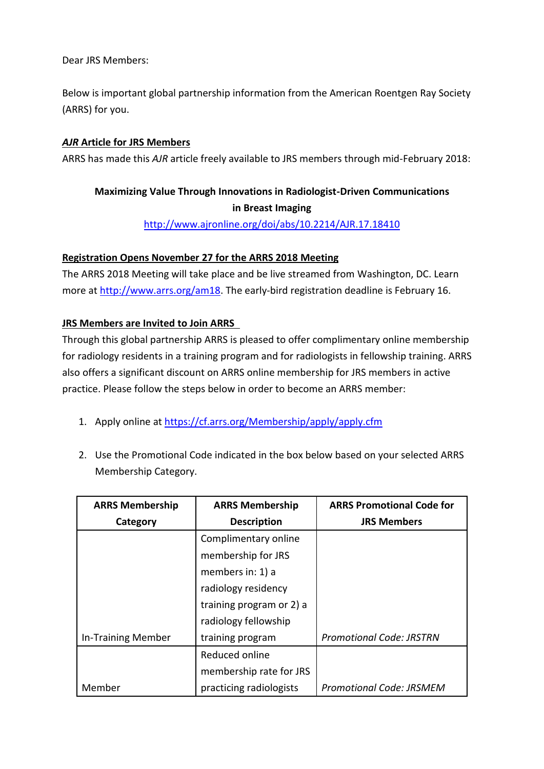Dear JRS Members:

Below is important global partnership information from the American Roentgen Ray Society (ARRS) for you.

## *AJR* **Article for JRS Members**

ARRS has made this *AJR* article freely available to JRS members through mid-February 2018:

## **Maximizing Value Through Innovations in Radiologist-Driven Communications in Breast Imaging**

<http://www.ajronline.org/doi/abs/10.2214/AJR.17.18410>

## **Registration Opens November 27 for the ARRS 2018 Meeting**

The ARRS 2018 Meeting will take place and be live streamed from Washington, DC. Learn more at [http://www.arrs.org/am18.](http://www.arrs.org/am18) The early-bird registration deadline is February 16.

## **JRS Members are Invited to Join ARRS**

Through this global partnership ARRS is pleased to offer complimentary online membership for radiology residents in a training program and for radiologists in fellowship training. ARRS also offers a significant discount on ARRS online membership for JRS members in active practice. Please follow the steps below in order to become an ARRS member:

- 1. Apply online at<https://cf.arrs.org/Membership/apply/apply.cfm>
- 2. Use the Promotional Code indicated in the box below based on your selected ARRS Membership Category.

| <b>ARRS Membership</b> | <b>ARRS Membership</b>   | <b>ARRS Promotional Code for</b> |
|------------------------|--------------------------|----------------------------------|
| Category               | <b>Description</b>       | <b>JRS Members</b>               |
|                        | Complimentary online     |                                  |
|                        | membership for JRS       |                                  |
|                        | members in: 1) a         |                                  |
|                        | radiology residency      |                                  |
|                        | training program or 2) a |                                  |
|                        | radiology fellowship     |                                  |
| In-Training Member     | training program         | <b>Promotional Code: JRSTRN</b>  |
|                        | Reduced online           |                                  |
|                        | membership rate for JRS  |                                  |
| Member                 | practicing radiologists  | <b>Promotional Code: JRSMEM</b>  |